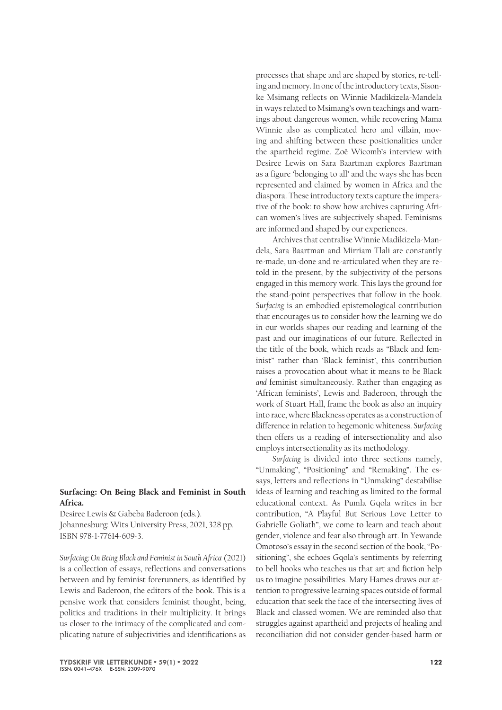## **Surfacing: On Being Black and Feminist in South Africa.**

Desiree Lewis & Gabeba Baderoon (eds.). Johannesburg: Wits University Press, 2021, 328 pp. ISBN 978-1-77614-609-3.

*Surfacing: On Being Black and Feminist in South Africa* (2021) is a collection of essays, reflections and conversations between and by feminist forerunners, as identified by Lewis and Baderoon, the editors of the book. This is a pensive work that considers feminist thought, being, politics and traditions in their multiplicity. It brings us closer to the intimacy of the complicated and complicating nature of subjectivities and identifications as

processes that shape and are shaped by stories, re-telling and memory. In one of the introductory texts, Sisonke Msimang reflects on Winnie Madikizela-Mandela in ways related to Msimang's own teachings and warnings about dangerous women, while recovering Mama Winnie also as complicated hero and villain, moving and shifting between these positionalities under the apartheid regime. Zoë Wicomb's interview with Desiree Lewis on Sara Baartman explores Baartman as a figure 'belonging to all' and the ways she has been represented and claimed by women in Africa and the diaspora. These introductory texts capture the imperative of the book: to show how archives capturing African women's lives are subjectively shaped. Feminisms are informed and shaped by our experiences.

Archives that centralise Winnie Madikizela-Mandela, Sara Baartman and Mirriam Tlali are constantly re-made, un-done and re-articulated when they are retold in the present, by the subjectivity of the persons engaged in this memory work. This lays the ground for the stand-point perspectives that follow in the book. *Surfacing* is an embodied epistemological contribution that encourages us to consider how the learning we do in our worlds shapes our reading and learning of the past and our imaginations of our future. Reflected in the title of the book, which reads as "Black and feminist" rather than 'Black feminist', this contribution raises a provocation about what it means to be Black *and* feminist simultaneously. Rather than engaging as 'African feminists', Lewis and Baderoon, through the work of Stuart Hall, frame the book as also an inquiry into race, where Blackness operates as a construction of difference in relation to hegemonic whiteness. *Surfacing* then offers us a reading of intersectionality and also employs intersectionality as its methodology.

*Surfacing* is divided into three sections namely, "Unmaking", "Positioning" and "Remaking". The essays, letters and reflections in "Unmaking" destabilise ideas of learning and teaching as limited to the formal educational context. As Pumla Gqola writes in her contribution, "A Playful But Serious Love Letter to Gabrielle Goliath", we come to learn and teach about gender, violence and fear also through art. In Yewande Omotoso's essay in the second section of the book, "Positioning", she echoes Gqola's sentiments by referring to bell hooks who teaches us that art and fiction help us to imagine possibilities. Mary Hames draws our attention to progressive learning spaces outside of formal education that seek the face of the intersecting lives of Black and classed women. We are reminded also that struggles against apartheid and projects of healing and reconciliation did not consider gender-based harm or